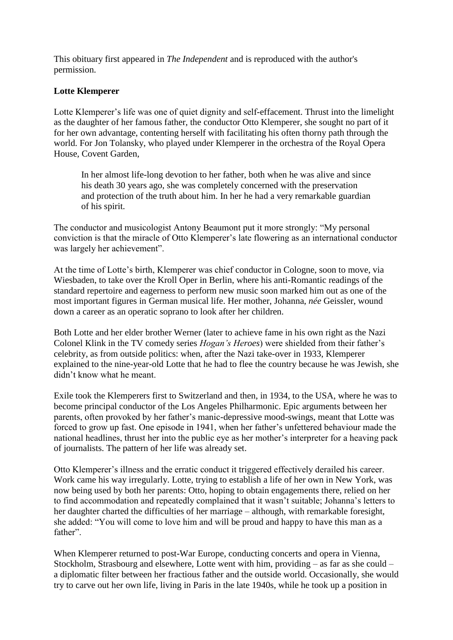This obituary first appeared in *The Independent* and is reproduced with the author's permission.

## **Lotte Klemperer**

Lotte Klemperer's life was one of quiet dignity and self-effacement. Thrust into the limelight as the daughter of her famous father, the conductor Otto Klemperer, she sought no part of it for her own advantage, contenting herself with facilitating his often thorny path through the world. For Jon Tolansky, who played under Klemperer in the orchestra of the Royal Opera House, Covent Garden,

In her almost life-long devotion to her father, both when he was alive and since his death 30 years ago, she was completely concerned with the preservation and protection of the truth about him. In her he had a very remarkable guardian of his spirit.

The conductor and musicologist Antony Beaumont put it more strongly: "My personal conviction is that the miracle of Otto Klemperer's late flowering as an international conductor was largely her achievement".

At the time of Lotte's birth, Klemperer was chief conductor in Cologne, soon to move, via Wiesbaden, to take over the Kroll Oper in Berlin, where his anti-Romantic readings of the standard repertoire and eagerness to perform new music soon marked him out as one of the most important figures in German musical life. Her mother, Johanna, *née* Geissler, wound down a career as an operatic soprano to look after her children.

Both Lotte and her elder brother Werner (later to achieve fame in his own right as the Nazi Colonel Klink in the TV comedy series *Hogan's Heroes*) were shielded from their father's celebrity, as from outside politics: when, after the Nazi take-over in 1933, Klemperer explained to the nine-year-old Lotte that he had to flee the country because he was Jewish, she didn't know what he meant.

Exile took the Klemperers first to Switzerland and then, in 1934, to the USA, where he was to become principal conductor of the Los Angeles Philharmonic. Epic arguments between her parents, often provoked by her father's manic-depressive mood-swings, meant that Lotte was forced to grow up fast. One episode in 1941, when her father's unfettered behaviour made the national headlines, thrust her into the public eye as her mother's interpreter for a heaving pack of journalists. The pattern of her life was already set.

Otto Klemperer's illness and the erratic conduct it triggered effectively derailed his career. Work came his way irregularly. Lotte, trying to establish a life of her own in New York, was now being used by both her parents: Otto, hoping to obtain engagements there, relied on her to find accommodation and repeatedly complained that it wasn't suitable; Johanna's letters to her daughter charted the difficulties of her marriage – although, with remarkable foresight, she added: "You will come to love him and will be proud and happy to have this man as a father".

When Klemperer returned to post-War Europe, conducting concerts and opera in Vienna, Stockholm, Strasbourg and elsewhere, Lotte went with him, providing – as far as she could – a diplomatic filter between her fractious father and the outside world. Occasionally, she would try to carve out her own life, living in Paris in the late 1940s, while he took up a position in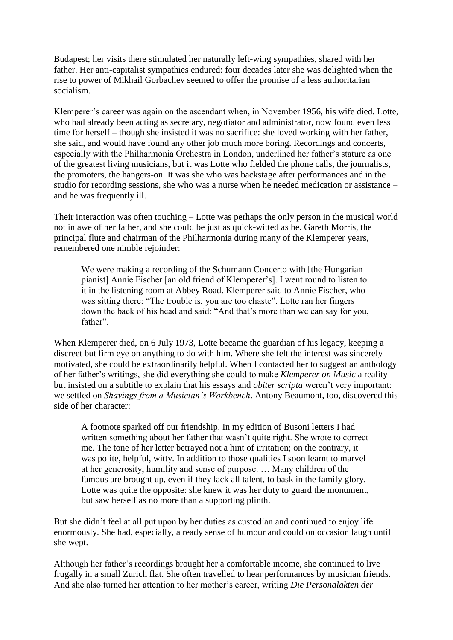Budapest; her visits there stimulated her naturally left-wing sympathies, shared with her father. Her anti-capitalist sympathies endured: four decades later she was delighted when the rise to power of Mikhail Gorbachev seemed to offer the promise of a less authoritarian socialism.

Klemperer's career was again on the ascendant when, in November 1956, his wife died. Lotte, who had already been acting as secretary, negotiator and administrator, now found even less time for herself – though she insisted it was no sacrifice: she loved working with her father, she said, and would have found any other job much more boring. Recordings and concerts, especially with the Philharmonia Orchestra in London, underlined her father's stature as one of the greatest living musicians, but it was Lotte who fielded the phone calls, the journalists, the promoters, the hangers-on. It was she who was backstage after performances and in the studio for recording sessions, she who was a nurse when he needed medication or assistance – and he was frequently ill.

Their interaction was often touching – Lotte was perhaps the only person in the musical world not in awe of her father, and she could be just as quick-witted as he. Gareth Morris, the principal flute and chairman of the Philharmonia during many of the Klemperer years, remembered one nimble rejoinder:

We were making a recording of the Schumann Concerto with [the Hungarian pianist] Annie Fischer [an old friend of Klemperer's]. I went round to listen to it in the listening room at Abbey Road. Klemperer said to Annie Fischer, who was sitting there: "The trouble is, you are too chaste". Lotte ran her fingers down the back of his head and said: "And that's more than we can say for you, father".

When Klemperer died, on 6 July 1973, Lotte became the guardian of his legacy, keeping a discreet but firm eye on anything to do with him. Where she felt the interest was sincerely motivated, she could be extraordinarily helpful. When I contacted her to suggest an anthology of her father's writings, she did everything she could to make *Klemperer on Music* a reality – but insisted on a subtitle to explain that his essays and *obiter scripta* weren't very important: we settled on *Shavings from a Musician's Workbench*. Antony Beaumont, too, discovered this side of her character:

A footnote sparked off our friendship. In my edition of Busoni letters I had written something about her father that wasn't quite right. She wrote to correct me. The tone of her letter betrayed not a hint of irritation; on the contrary, it was polite, helpful, witty. In addition to those qualities I soon learnt to marvel at her generosity, humility and sense of purpose. … Many children of the famous are brought up, even if they lack all talent, to bask in the family glory. Lotte was quite the opposite: she knew it was her duty to guard the monument, but saw herself as no more than a supporting plinth.

But she didn't feel at all put upon by her duties as custodian and continued to enjoy life enormously. She had, especially, a ready sense of humour and could on occasion laugh until she wept.

Although her father's recordings brought her a comfortable income, she continued to live frugally in a small Zurich flat. She often travelled to hear performances by musician friends. And she also turned her attention to her mother's career, writing *Die Personalakten der*